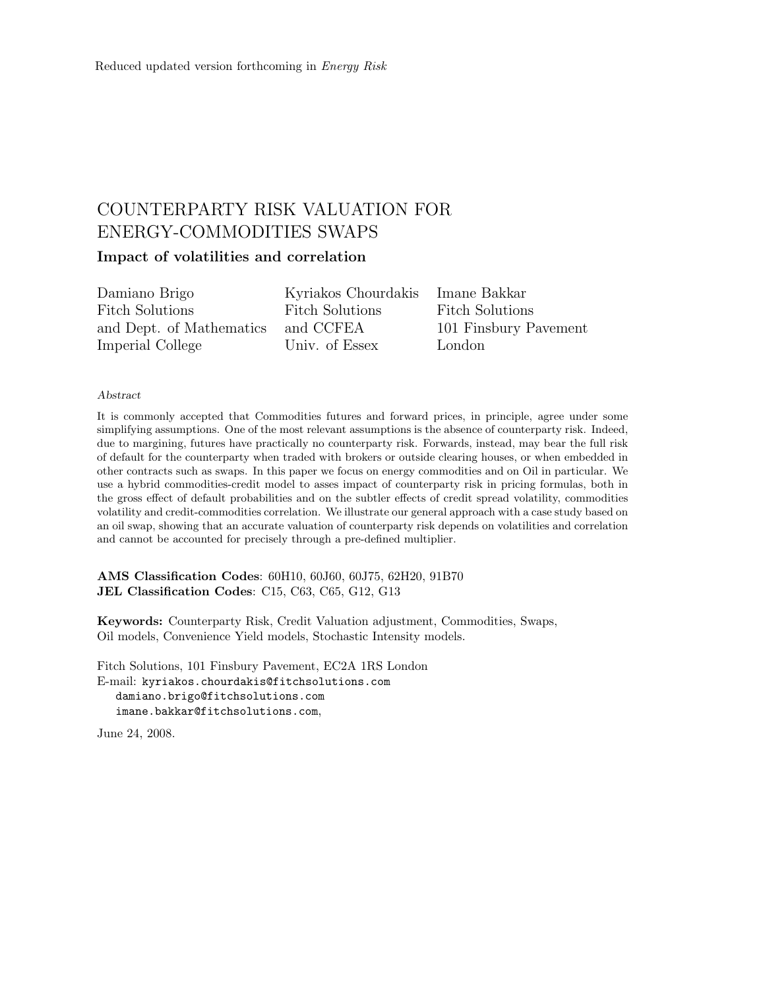# COUNTERPARTY RISK VALUATION FOR ENERGY-COMMODITIES SWAPS Impact of volatilities and correlation

Damiano Brigo Fitch Solutions and Dept. of Mathematics Kyriakos Chourdakis Fitch Solutions and CCFEA

Univ. of Essex

Imane Bakkar Fitch Solutions 101 Finsbury Pavement London

#### Abstract

Imperial College

It is commonly accepted that Commodities futures and forward prices, in principle, agree under some simplifying assumptions. One of the most relevant assumptions is the absence of counterparty risk. Indeed, due to margining, futures have practically no counterparty risk. Forwards, instead, may bear the full risk of default for the counterparty when traded with brokers or outside clearing houses, or when embedded in other contracts such as swaps. In this paper we focus on energy commodities and on Oil in particular. We use a hybrid commodities-credit model to asses impact of counterparty risk in pricing formulas, both in the gross effect of default probabilities and on the subtler effects of credit spread volatility, commodities volatility and credit-commodities correlation. We illustrate our general approach with a case study based on an oil swap, showing that an accurate valuation of counterparty risk depends on volatilities and correlation and cannot be accounted for precisely through a pre-defined multiplier.

AMS Classification Codes: 60H10, 60J60, 60J75, 62H20, 91B70 JEL Classification Codes: C15, C63, C65, G12, G13

Keywords: Counterparty Risk, Credit Valuation adjustment, Commodities, Swaps, Oil models, Convenience Yield models, Stochastic Intensity models.

Fitch Solutions, 101 Finsbury Pavement, EC2A 1RS London E-mail: kyriakos.chourdakis@fitchsolutions.com damiano.brigo@fitchsolutions.com imane.bakkar@fitchsolutions.com,

June 24, 2008.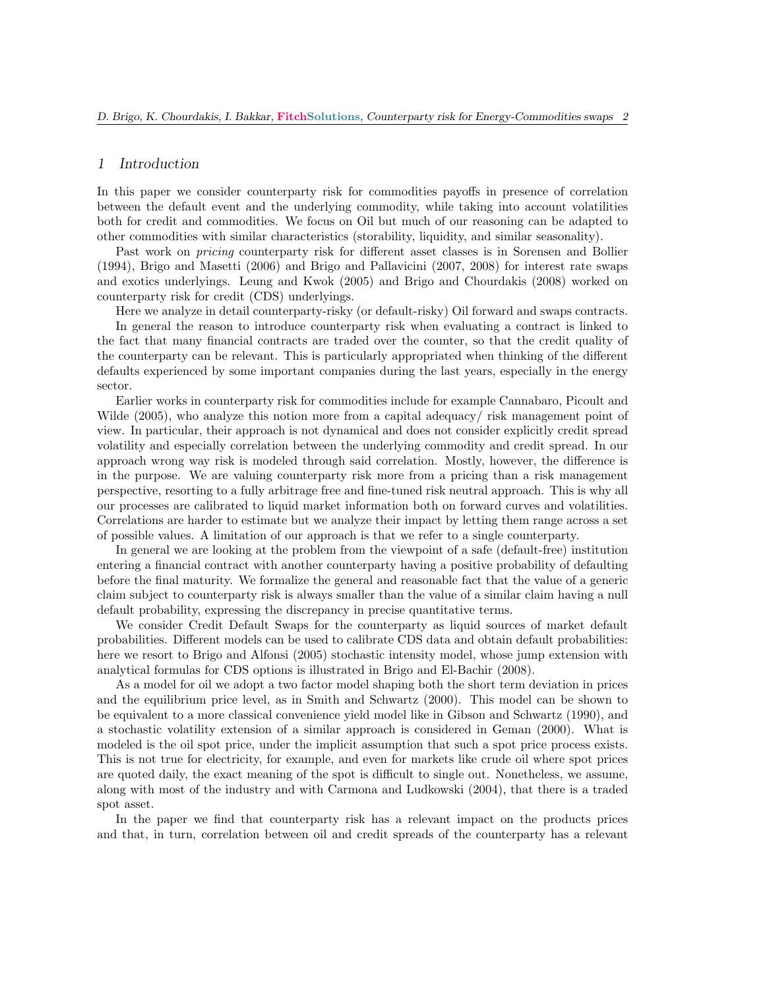## 1 Introduction

sector.

In this paper we consider counterparty risk for commodities payoffs in presence of correlation between the default event and the underlying commodity, while taking into account volatilities both for credit and commodities. We focus on Oil but much of our reasoning can be adapted to other commodities with similar characteristics (storability, liquidity, and similar seasonality).

Past work on pricing counterparty risk for different asset classes is in Sorensen and Bollier (1994), Brigo and Masetti (2006) and Brigo and Pallavicini (2007, 2008) for interest rate swaps and exotics underlyings. Leung and Kwok (2005) and Brigo and Chourdakis (2008) worked on counterparty risk for credit (CDS) underlyings.

Here we analyze in detail counterparty-risky (or default-risky) Oil forward and swaps contracts. In general the reason to introduce counterparty risk when evaluating a contract is linked to the fact that many financial contracts are traded over the counter, so that the credit quality of the counterparty can be relevant. This is particularly appropriated when thinking of the different defaults experienced by some important companies during the last years, especially in the energy

Earlier works in counterparty risk for commodities include for example Cannabaro, Picoult and Wilde (2005), who analyze this notion more from a capital adequacy/ risk management point of view. In particular, their approach is not dynamical and does not consider explicitly credit spread volatility and especially correlation between the underlying commodity and credit spread. In our approach wrong way risk is modeled through said correlation. Mostly, however, the difference is in the purpose. We are valuing counterparty risk more from a pricing than a risk management perspective, resorting to a fully arbitrage free and fine-tuned risk neutral approach. This is why all our processes are calibrated to liquid market information both on forward curves and volatilities. Correlations are harder to estimate but we analyze their impact by letting them range across a set of possible values. A limitation of our approach is that we refer to a single counterparty.

In general we are looking at the problem from the viewpoint of a safe (default-free) institution entering a financial contract with another counterparty having a positive probability of defaulting before the final maturity. We formalize the general and reasonable fact that the value of a generic claim subject to counterparty risk is always smaller than the value of a similar claim having a null default probability, expressing the discrepancy in precise quantitative terms.

We consider Credit Default Swaps for the counterparty as liquid sources of market default probabilities. Different models can be used to calibrate CDS data and obtain default probabilities: here we resort to Brigo and Alfonsi (2005) stochastic intensity model, whose jump extension with analytical formulas for CDS options is illustrated in Brigo and El-Bachir (2008).

As a model for oil we adopt a two factor model shaping both the short term deviation in prices and the equilibrium price level, as in Smith and Schwartz (2000). This model can be shown to be equivalent to a more classical convenience yield model like in Gibson and Schwartz (1990), and a stochastic volatility extension of a similar approach is considered in Geman (2000). What is modeled is the oil spot price, under the implicit assumption that such a spot price process exists. This is not true for electricity, for example, and even for markets like crude oil where spot prices are quoted daily, the exact meaning of the spot is difficult to single out. Nonetheless, we assume, along with most of the industry and with Carmona and Ludkowski (2004), that there is a traded spot asset.

In the paper we find that counterparty risk has a relevant impact on the products prices and that, in turn, correlation between oil and credit spreads of the counterparty has a relevant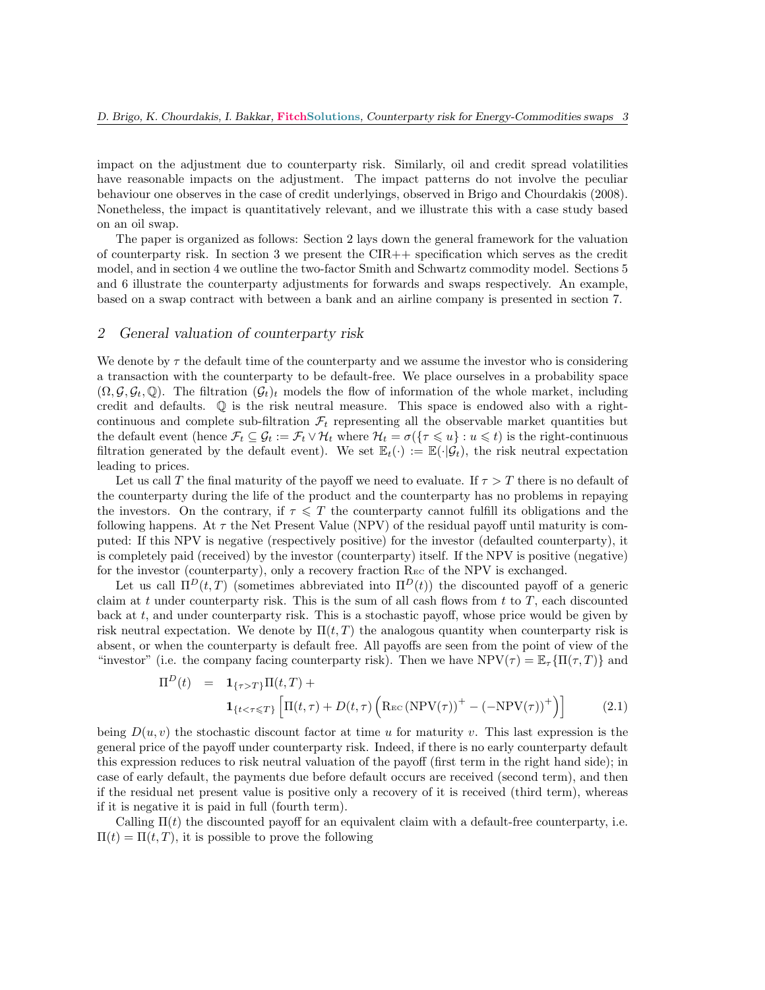impact on the adjustment due to counterparty risk. Similarly, oil and credit spread volatilities have reasonable impacts on the adjustment. The impact patterns do not involve the peculiar behaviour one observes in the case of credit underlyings, observed in Brigo and Chourdakis (2008). Nonetheless, the impact is quantitatively relevant, and we illustrate this with a case study based on an oil swap.

The paper is organized as follows: Section 2 lays down the general framework for the valuation of counterparty risk. In section 3 we present the  $CIR++$  specification which serves as the credit model, and in section 4 we outline the two-factor Smith and Schwartz commodity model. Sections 5 and 6 illustrate the counterparty adjustments for forwards and swaps respectively. An example, based on a swap contract with between a bank and an airline company is presented in section 7.

## 2 General valuation of counterparty risk

We denote by  $\tau$  the default time of the counterparty and we assume the investor who is considering a transaction with the counterparty to be default-free. We place ourselves in a probability space  $(\Omega, \mathcal{G}, \mathcal{G}_t, \mathbb{Q})$ . The filtration  $(\mathcal{G}_t)_t$  models the flow of information of the whole market, including credit and defaults. Q is the risk neutral measure. This space is endowed also with a rightcontinuous and complete sub-filtration  $\mathcal{F}_t$  representing all the observable market quantities but the default event (hence  $\mathcal{F}_t \subseteq \mathcal{G}_t := \mathcal{F}_t \vee \mathcal{H}_t$  where  $\mathcal{H}_t = \sigma(\{\tau \leq u\} : u \leq t)$  is the right-continuous filtration generated by the default event). We set  $\mathbb{E}_t(\cdot) := \mathbb{E}(\cdot|\mathcal{G}_t)$ , the risk neutral expectation leading to prices.

Let us call T the final maturity of the payoff we need to evaluate. If  $\tau > T$  there is no default of the counterparty during the life of the product and the counterparty has no problems in repaying the investors. On the contrary, if  $\tau \leq T$  the counterparty cannot fulfill its obligations and the following happens. At  $\tau$  the Net Present Value (NPV) of the residual payoff until maturity is computed: If this NPV is negative (respectively positive) for the investor (defaulted counterparty), it is completely paid (received) by the investor (counterparty) itself. If the NPV is positive (negative) for the investor (counterparty), only a recovery fraction  $\text{Re}\sigma$  of the NPV is exchanged.

Let us call  $\Pi^D(t,T)$  (sometimes abbreviated into  $\Pi^D(t)$ ) the discounted payoff of a generic claim at t under counterparty risk. This is the sum of all cash flows from t to  $T$ , each discounted back at t, and under counterparty risk. This is a stochastic payoff, whose price would be given by risk neutral expectation. We denote by  $\Pi(t, T)$  the analogous quantity when counterparty risk is absent, or when the counterparty is default free. All payoffs are seen from the point of view of the "investor" (i.e. the company facing counterparty risk). Then we have  $NPV(\tau) = \mathbb{E}_{\tau} \{ \Pi(\tau, T) \}$  and

$$
\Pi^{D}(t) = \mathbf{1}_{\{\tau > T\}} \Pi(t, T) + \n\mathbf{1}_{\{t < \tau \leq T\}} \left[ \Pi(t, \tau) + D(t, \tau) \left( \text{Rec} \left( \text{NPV}(\tau) \right)^{+} - \left( -\text{NPV}(\tau) \right)^{+} \right) \right]
$$
\n(2.1)

being  $D(u, v)$  the stochastic discount factor at time u for maturity v. This last expression is the general price of the payoff under counterparty risk. Indeed, if there is no early counterparty default this expression reduces to risk neutral valuation of the payoff (first term in the right hand side); in case of early default, the payments due before default occurs are received (second term), and then if the residual net present value is positive only a recovery of it is received (third term), whereas if it is negative it is paid in full (fourth term).

Calling  $\Pi(t)$  the discounted payoff for an equivalent claim with a default-free counterparty, i.e.  $\Pi(t) = \Pi(t, T)$ , it is possible to prove the following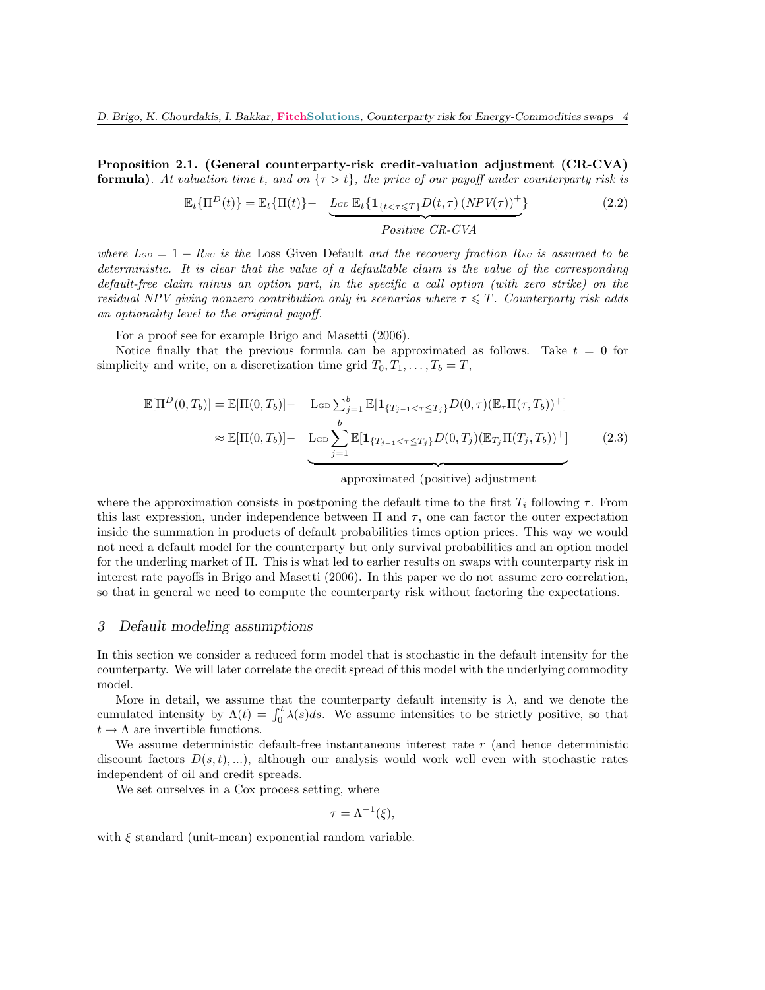Proposition 2.1. (General counterparty-risk credit-valuation adjustment (CR-CVA) **formula).** At valuation time t, and on  $\{\tau > t\}$ , the price of our payoff under counterparty risk is

$$
\mathbb{E}_{t}\{\Pi^{D}(t)\} = \mathbb{E}_{t}\{\Pi(t)\} - \underbrace{L_{GD} \mathbb{E}_{t}\{1_{\{t < \tau \leq T\}} D(t, \tau) (NPV(\tau))^{+}\}}_{Positive \ CR-CVA}
$$
\n(2.2)

where  $L_{GD} = 1 - Rec$  is the Loss Given Default and the recovery fraction  $R_{EC}$  is assumed to be deterministic. It is clear that the value of a defaultable claim is the value of the corresponding default-free claim minus an option part, in the specific a call option (with zero strike) on the residual NPV giving nonzero contribution only in scenarios where  $\tau \leqslant T$ . Counterparty risk adds an optionality level to the original payoff.

For a proof see for example Brigo and Masetti (2006).

Notice finally that the previous formula can be approximated as follows. Take  $t = 0$  for simplicity and write, on a discretization time grid  $T_0, T_1, \ldots, T_b = T$ ,

$$
\mathbb{E}[\Pi^{D}(0,T_{b})] = \mathbb{E}[\Pi(0,T_{b})] - \text{Log}\sum_{j=1}^{b} \mathbb{E}[\mathbf{1}_{\{T_{j-1} < \tau \leq T_{j}\}} D(0,\tau)(\mathbb{E}_{\tau}\Pi(\tau,T_{b}))^{+}] \\
\approx \mathbb{E}[\Pi(0,T_{b})] - \text{Log}\sum_{j=1}^{b} \mathbb{E}[\mathbf{1}_{\{T_{j-1} < \tau \leq T_{j}\}} D(0,T_{j})(\mathbb{E}_{T_{j}}\Pi(T_{j},T_{b}))^{+}] \tag{2.3}
$$

approximated (positive) adjustment

where the approximation consists in postponing the default time to the first  $T_i$  following  $\tau$ . From this last expression, under independence between  $\Pi$  and  $\tau$ , one can factor the outer expectation inside the summation in products of default probabilities times option prices. This way we would not need a default model for the counterparty but only survival probabilities and an option model for the underling market of Π. This is what led to earlier results on swaps with counterparty risk in interest rate payoffs in Brigo and Masetti (2006). In this paper we do not assume zero correlation, so that in general we need to compute the counterparty risk without factoring the expectations.

### 3 Default modeling assumptions

In this section we consider a reduced form model that is stochastic in the default intensity for the counterparty. We will later correlate the credit spread of this model with the underlying commodity model.

More in detail, we assume that the counterparty default intensity is  $\lambda$ , and we denote the cumulated intensity by  $\Lambda(t) = \int_0^t \lambda(s)ds$ . We assume intensities to be strictly positive, so that  $t \mapsto \Lambda$  are invertible functions.

We assume deterministic default-free instantaneous interest rate r (and hence deterministic discount factors  $D(s, t), \ldots$ , although our analysis would work well even with stochastic rates independent of oil and credit spreads.

We set ourselves in a Cox process setting, where

$$
\tau = \Lambda^{-1}(\xi),
$$

with  $\xi$  standard (unit-mean) exponential random variable.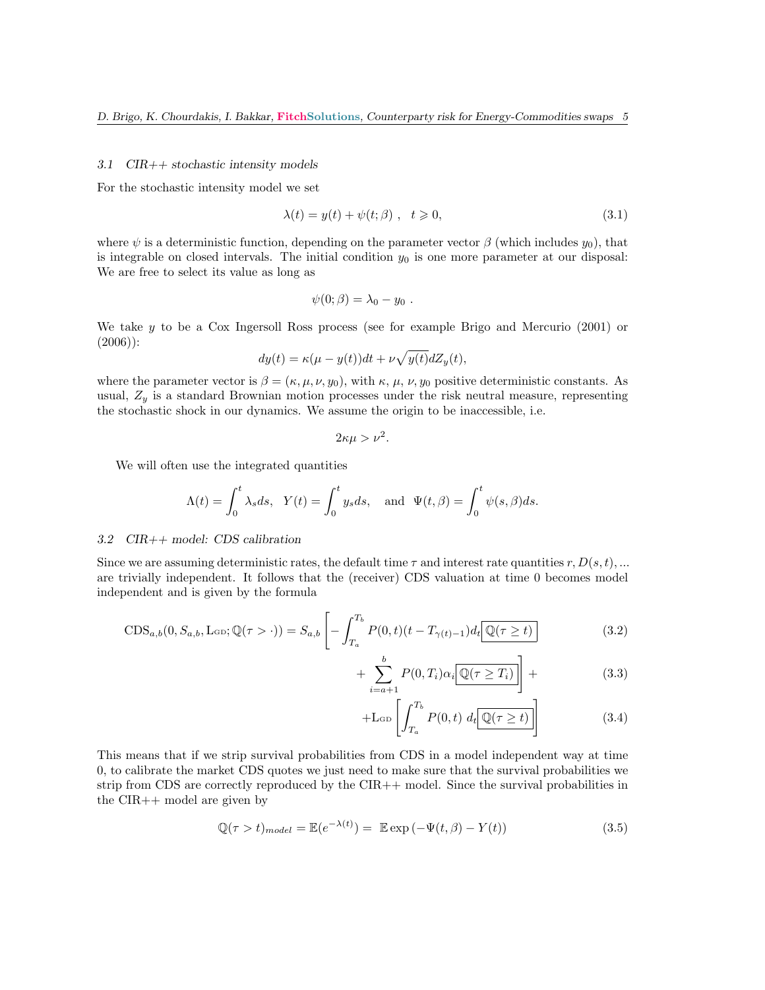#### 3.1 CIR++ stochastic intensity models

For the stochastic intensity model we set

$$
\lambda(t) = y(t) + \psi(t; \beta) , \quad t \ge 0,
$$
\n(3.1)

where  $\psi$  is a deterministic function, depending on the parameter vector  $\beta$  (which includes  $y_0$ ), that is integrable on closed intervals. The initial condition  $y_0$  is one more parameter at our disposal: We are free to select its value as long as

$$
\psi(0;\beta)=\lambda_0-y_0.
$$

We take  $y$  to be a Cox Ingersoll Ross process (see for example Brigo and Mercurio  $(2001)$  or (2006)):

$$
dy(t) = \kappa(\mu - y(t))dt + \nu \sqrt{y(t)}dZ_y(t),
$$

where the parameter vector is  $\beta = (\kappa, \mu, \nu, y_0)$ , with  $\kappa, \mu, \nu, y_0$  positive deterministic constants. As usual,  $Z_y$  is a standard Brownian motion processes under the risk neutral measure, representing the stochastic shock in our dynamics. We assume the origin to be inaccessible, i.e.

$$
2\kappa\mu > \nu^2.
$$

We will often use the integrated quantities

$$
\Lambda(t) = \int_0^t \lambda_s ds, \ \ Y(t) = \int_0^t y_s ds, \ \text{and} \ \ \Psi(t, \beta) = \int_0^t \psi(s, \beta) ds.
$$

#### 3.2 CIR++ model: CDS calibration

Since we are assuming deterministic rates, the default time  $\tau$  and interest rate quantities  $r, D(s, t), ...$ are trivially independent. It follows that the (receiver) CDS valuation at time 0 becomes model independent and is given by the formula

$$
CDS_{a,b}(0, S_{a,b}, \text{LGD}; \mathbb{Q}(\tau > \cdot)) = S_{a,b} \left[ - \int_{T_a}^{T_b} P(0, t)(t - T_{\gamma(t)-1}) dt \boxed{\mathbb{Q}(\tau \ge t)} \right]
$$
(3.2)

$$
+\sum_{i=a+1}^{b} P(0,T_i)\alpha_i \overline{\mathbb{Q}(\tau \ge T_i)}\bigg] + \tag{3.3}
$$

$$
+L_{\rm GD}\left[\int_{T_a}^{T_b} P(0,t) \, d_t \boxed{\mathbb{Q}(\tau \ge t)}\right] \tag{3.4}
$$

This means that if we strip survival probabilities from CDS in a model independent way at time 0, to calibrate the market CDS quotes we just need to make sure that the survival probabilities we strip from CDS are correctly reproduced by the CIR++ model. Since the survival probabilities in the CIR++ model are given by

$$
\mathbb{Q}(\tau > t)_{model} = \mathbb{E}(e^{-\lambda(t)}) = \mathbb{E}\exp(-\Psi(t,\beta) - Y(t))
$$
\n(3.5)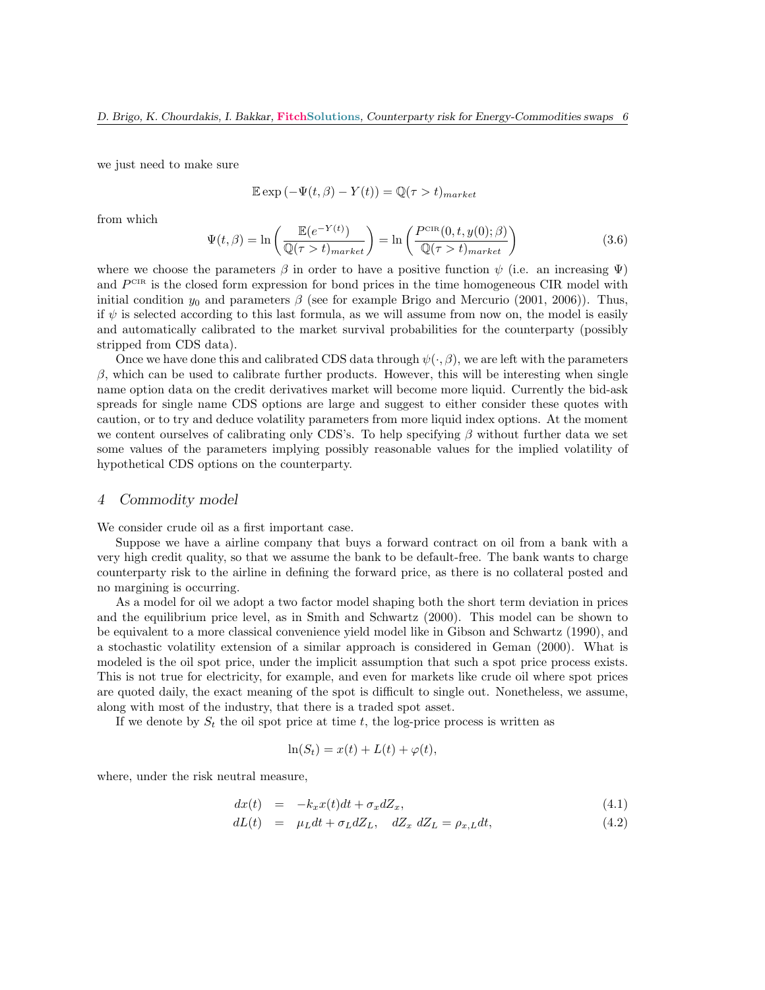we just need to make sure

$$
\mathbb{E}\exp\left(-\Psi(t,\beta)-Y(t)\right)=\mathbb{Q}(\tau>t)_{market}
$$

from which

$$
\Psi(t,\beta) = \ln\left(\frac{\mathbb{E}(e^{-Y(t)})}{\mathbb{Q}(\tau > t)_{market}}\right) = \ln\left(\frac{P^{\text{CIR}}(0,t,y(0);\beta)}{\mathbb{Q}(\tau > t)_{market}}\right)
$$
(3.6)

where we choose the parameters  $\beta$  in order to have a positive function  $\psi$  (i.e. an increasing  $\Psi$ ) and  $P<sup>CH</sup>$  is the closed form expression for bond prices in the time homogeneous CIR model with initial condition  $y_0$  and parameters  $\beta$  (see for example Brigo and Mercurio (2001, 2006)). Thus, if  $\psi$  is selected according to this last formula, as we will assume from now on, the model is easily and automatically calibrated to the market survival probabilities for the counterparty (possibly stripped from CDS data).

Once we have done this and calibrated CDS data through  $\psi(\cdot,\beta)$ , we are left with the parameters  $β$ , which can be used to calibrate further products. However, this will be interesting when single name option data on the credit derivatives market will become more liquid. Currently the bid-ask spreads for single name CDS options are large and suggest to either consider these quotes with caution, or to try and deduce volatility parameters from more liquid index options. At the moment we content ourselves of calibrating only CDS's. To help specifying  $\beta$  without further data we set some values of the parameters implying possibly reasonable values for the implied volatility of hypothetical CDS options on the counterparty.

#### 4 Commodity model

We consider crude oil as a first important case.

Suppose we have a airline company that buys a forward contract on oil from a bank with a very high credit quality, so that we assume the bank to be default-free. The bank wants to charge counterparty risk to the airline in defining the forward price, as there is no collateral posted and no margining is occurring.

As a model for oil we adopt a two factor model shaping both the short term deviation in prices and the equilibrium price level, as in Smith and Schwartz (2000). This model can be shown to be equivalent to a more classical convenience yield model like in Gibson and Schwartz (1990), and a stochastic volatility extension of a similar approach is considered in Geman (2000). What is modeled is the oil spot price, under the implicit assumption that such a spot price process exists. This is not true for electricity, for example, and even for markets like crude oil where spot prices are quoted daily, the exact meaning of the spot is difficult to single out. Nonetheless, we assume, along with most of the industry, that there is a traded spot asset.

If we denote by  $S_t$  the oil spot price at time t, the log-price process is written as

$$
\ln(S_t) = x(t) + L(t) + \varphi(t),
$$

where, under the risk neutral measure,

$$
dx(t) = -k_x x(t)dt + \sigma_x dZ_x, \qquad (4.1)
$$

$$
dL(t) = \mu_L dt + \sigma_L dZ_L, \quad dZ_x \, dZ_L = \rho_{x,L} dt,\tag{4.2}
$$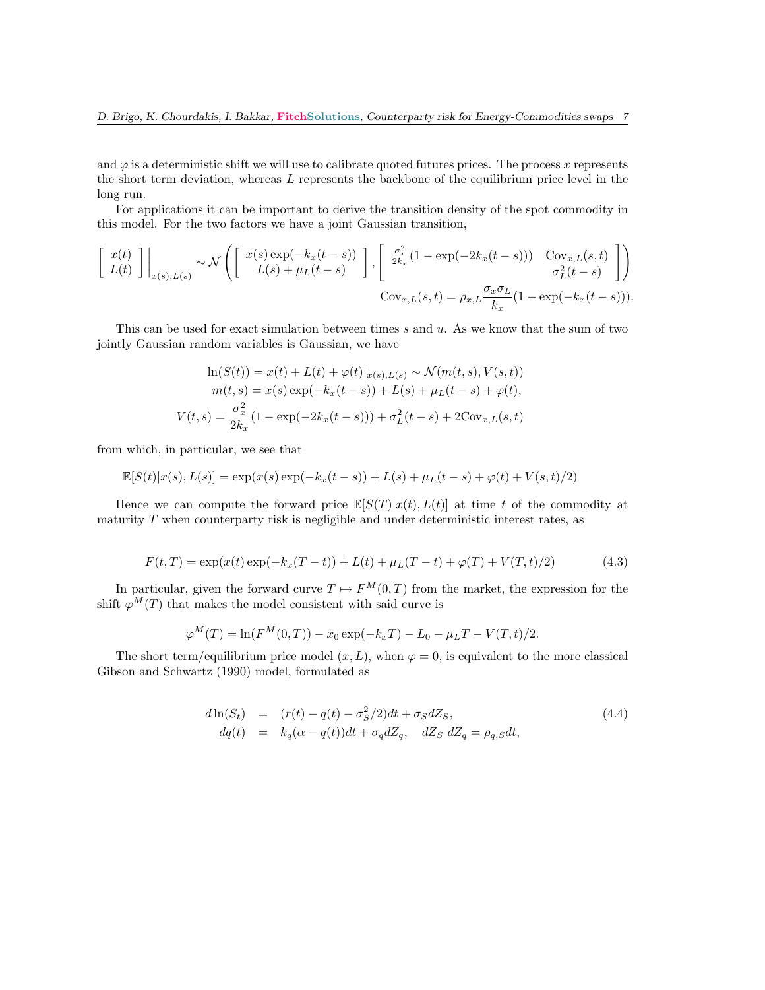and  $\varphi$  is a deterministic shift we will use to calibrate quoted futures prices. The process x represents the short term deviation, whereas L represents the backbone of the equilibrium price level in the long run.

For applications it can be important to derive the transition density of the spot commodity in this model. For the two factors we have a joint Gaussian transition,

$$
\begin{bmatrix} x(t) \\ L(t) \end{bmatrix} \Big|_{x(s),L(s)} \sim \mathcal{N} \left( \begin{bmatrix} x(s) \exp(-k_x(t-s)) \\ L(s) + \mu_L(t-s) \end{bmatrix}, \begin{bmatrix} \frac{\sigma_x^2}{2k_x}(1 - \exp(-2k_x(t-s))) & \text{Cov}_{x,L}(s,t) \\ \frac{\sigma_L^2}{2k_x}(1 - \exp(-2k_x(t-s))) & \sigma_L^2(t-s) \end{bmatrix} \right)
$$
  
 
$$
\text{Cov}_{x,L}(s,t) = \rho_{x,L} \frac{\sigma_x \sigma_L}{k_x} (1 - \exp(-k_x(t-s))).
$$

This can be used for exact simulation between times  $s$  and  $u$ . As we know that the sum of two jointly Gaussian random variables is Gaussian, we have

$$
\ln(S(t)) = x(t) + L(t) + \varphi(t)|_{x(s),L(s)} \sim \mathcal{N}(m(t,s),V(s,t))
$$

$$
m(t,s) = x(s) \exp(-k_x(t-s)) + L(s) + \mu_L(t-s) + \varphi(t),
$$

$$
V(t,s) = \frac{\sigma_x^2}{2k_x}(1 - \exp(-2k_x(t-s))) + \sigma_L^2(t-s) + 2\text{Cov}_{x,L}(s,t)
$$

from which, in particular, we see that

$$
\mathbb{E}[S(t)|x(s),L(s)] = \exp(x(s)\exp(-k_x(t-s)) + L(s) + \mu_L(t-s) + \varphi(t) + V(s,t)/2)
$$

Hence we can compute the forward price  $\mathbb{E}[S(T)|x(t), L(t)]$  at time t of the commodity at maturity  $T$  when counterparty risk is negligible and under deterministic interest rates, as

$$
F(t,T) = \exp(x(t)\exp(-k_x(T-t)) + L(t) + \mu_L(T-t) + \varphi(T) + V(T,t)/2)
$$
\n(4.3)

In particular, given the forward curve  $T \mapsto F^{M}(0,T)$  from the market, the expression for the shift  $\varphi^M(T)$  that makes the model consistent with said curve is

$$
\varphi^M(T) = \ln(F^M(0,T)) - x_0 \exp(-k_x T) - L_0 - \mu_L T - V(T,t)/2.
$$

The short term/equilibrium price model  $(x, L)$ , when  $\varphi = 0$ , is equivalent to the more classical Gibson and Schwartz (1990) model, formulated as

$$
d\ln(S_t) = (r(t) - q(t) - \sigma_S^2/2)dt + \sigma_S dZ_S,
$$
  
\n
$$
dq(t) = k_q(\alpha - q(t))dt + \sigma_q dZ_q, \quad dZ_S \, dZ_q = \rho_{q,S} dt,
$$
\n(4.4)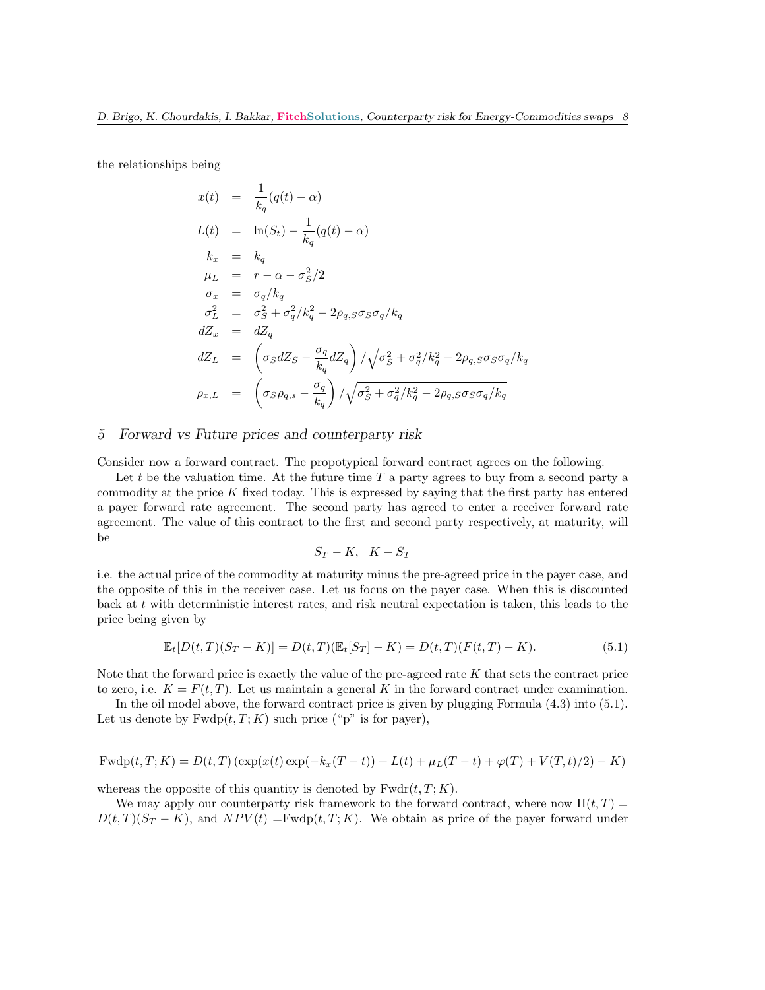the relationships being

$$
x(t) = \frac{1}{k_q}(q(t) - \alpha)
$$
  
\n
$$
L(t) = \ln(S_t) - \frac{1}{k_q}(q(t) - \alpha)
$$
  
\n
$$
k_x = k_q
$$
  
\n
$$
\mu_L = r - \alpha - \sigma_S^2/2
$$
  
\n
$$
\sigma_x = \sigma_q/k_q
$$
  
\n
$$
\sigma_L^2 = \sigma_S^2 + \sigma_q^2/k_q^2 - 2\rho_{q,S}\sigma_S\sigma_q/k_q
$$
  
\n
$$
dZ_x = dZ_q
$$
  
\n
$$
dZ_L = \left(\sigma_S dZ_S - \frac{\sigma_q}{k_q} dZ_q\right) / \sqrt{\sigma_S^2 + \sigma_q^2/k_q^2 - 2\rho_{q,S}\sigma_S\sigma_q/k_q}
$$
  
\n
$$
\rho_{x,L} = \left(\sigma_S \rho_{q,s} - \frac{\sigma_q}{k_q}\right) / \sqrt{\sigma_S^2 + \sigma_q^2/k_q^2 - 2\rho_{q,S}\sigma_S\sigma_q/k_q}
$$

#### 5 Forward vs Future prices and counterparty risk

Consider now a forward contract. The propotypical forward contract agrees on the following.

Let t be the valuation time. At the future time  $T$  a party agrees to buy from a second party a commodity at the price  $K$  fixed today. This is expressed by saying that the first party has entered a payer forward rate agreement. The second party has agreed to enter a receiver forward rate agreement. The value of this contract to the first and second party respectively, at maturity, will be

$$
S_T - K, \quad K - S_T
$$

i.e. the actual price of the commodity at maturity minus the pre-agreed price in the payer case, and the opposite of this in the receiver case. Let us focus on the payer case. When this is discounted back at t with deterministic interest rates, and risk neutral expectation is taken, this leads to the price being given by

$$
\mathbb{E}_t[D(t,T)(S_T - K)] = D(t,T)(\mathbb{E}_t[S_T] - K) = D(t,T)(F(t,T) - K).
$$
\n(5.1)

Note that the forward price is exactly the value of the pre-agreed rate  $K$  that sets the contract price to zero, i.e.  $K = F(t,T)$ . Let us maintain a general K in the forward contract under examination.

In the oil model above, the forward contract price is given by plugging Formula (4.3) into (5.1). Let us denote by  $Fwdp(t, T; K)$  such price ("p" is for payer),

$$
Fwdp(t, T; K) = D(t, T) \left( \exp(x(t) \exp(-k_x(T-t)) + L(t) + \mu_L(T-t) + \varphi(T) + V(T, t)/2 \right) - K)
$$

whereas the opposite of this quantity is denoted by  $Fwdr(t, T; K)$ .

We may apply our counterparty risk framework to the forward contract, where now  $\Pi(t, T)$  $D(t,T)(S_T - K)$ , and  $NPV(t) = Fwdp(t,T; K)$ . We obtain as price of the payer forward under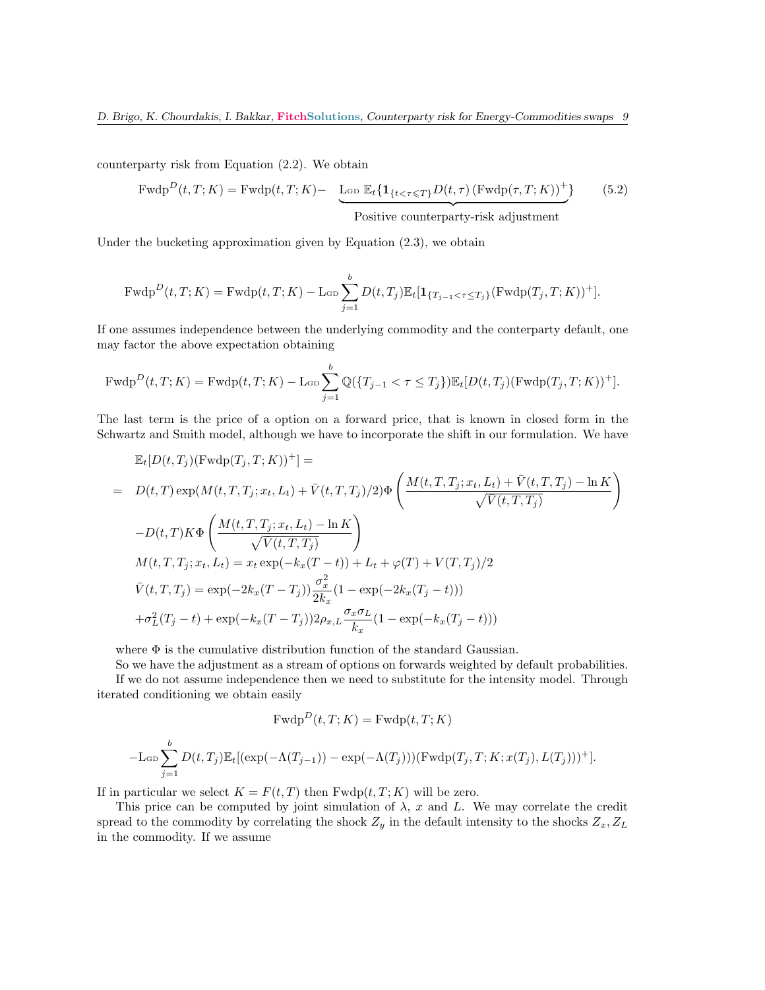counterparty risk from Equation (2.2). We obtain

$$
\text{Fwdp}^D(t, T; K) = \text{Fwdp}(t, T; K) - \underbrace{\text{Lop } \mathbb{E}_t \{ \mathbf{1}_{\{t < \tau \le T\}} D(t, \tau) \left( \text{Fwdp}(\tau, T; K) \right)^+ \}}_{\text{Positive counterparty-risk adjustment}} \tag{5.2}
$$

Under the bucketing approximation given by Equation (2.3), we obtain

$$
\mathrm{Fwdp}^D(t, T; K) = \mathrm{Fwdp}(t, T; K) - \mathrm{Lop} \sum_{j=1}^b D(t, T_j) \mathbb{E}_t[\mathbf{1}_{\{T_{j-1} < \tau \le T_j\}} (\mathrm{Fwdp}(T_j, T; K))^+].
$$

If one assumes independence between the underlying commodity and the conterparty default, one may factor the above expectation obtaining

$$
\mathrm{Fwdp}^D(t,T;K) = \mathrm{Fwdp}(t,T;K) - \mathrm{LGD}\sum_{j=1}^b \mathbb{Q}(\{T_{j-1} < \tau \le T_j\}) \mathbb{E}_t[D(t,T_j)(\mathrm{Fwdp}(T_j,T;K))^+].
$$

The last term is the price of a option on a forward price, that is known in closed form in the Schwartz and Smith model, although we have to incorporate the shift in our formulation. We have

$$
\mathbb{E}_{t}[D(t,T_{j})(\text{Fwdp}(T_{j},T;K))^{+}] =
$$
\n
$$
= D(t,T) \exp(M(t,T,T_{j};x_{t},L_{t}) + \bar{V}(t,T,T_{j})/2) \Phi\left(\frac{M(t,T,T_{j};x_{t},L_{t}) + \bar{V}(t,T,T_{j}) - \ln K}{\sqrt{\bar{V}(t,T,T_{j})}}\right)
$$
\n
$$
-D(t,T)K\Phi\left(\frac{M(t,T,T_{j};x_{t},L_{t}) - \ln K}{\sqrt{\bar{V}(t,T,T_{j})}}\right)
$$
\n
$$
M(t,T,T_{j};x_{t},L_{t}) = x_{t} \exp(-k_{x}(T-t)) + L_{t} + \varphi(T) + V(T,T_{j})/2
$$
\n
$$
\bar{V}(t,T,T_{j}) = \exp(-2k_{x}(T-T_{j})) \frac{\sigma_{x}^{2}}{2k_{x}} (1 - \exp(-2k_{x}(T_{j}-t)))
$$
\n
$$
+ \sigma_{L}^{2}(T_{j}-t) + \exp(-k_{x}(T-T_{j})) 2\rho_{x,L} \frac{\sigma_{x}\sigma_{L}}{k_{x}} (1 - \exp(-k_{x}(T_{j}-t)))
$$

where  $\Phi$  is the cumulative distribution function of the standard Gaussian.

So we have the adjustment as a stream of options on forwards weighted by default probabilities. If we do not assume independence then we need to substitute for the intensity model. Through iterated conditioning we obtain easily

$$
\mathrm{Fwdp}^D(t, T; K) = \mathrm{Fwdp}(t, T; K)
$$

$$
-\mathcal{L}_{\text{GD}}\sum_{j=1}^{b}D(t,T_j)\mathbb{E}_t[(\exp(-\Lambda(T_{j-1}))-\exp(-\Lambda(T_j)))(\text{Fwdp}(T_j,T;K;x(T_j),L(T_j)))^+].
$$

If in particular we select  $K = F(t, T)$  then  $Fwdp(t, T; K)$  will be zero.

This price can be computed by joint simulation of  $\lambda$ , x and L. We may correlate the credit spread to the commodity by correlating the shock  $Z_y$  in the default intensity to the shocks  $Z_x, Z_L$ in the commodity. If we assume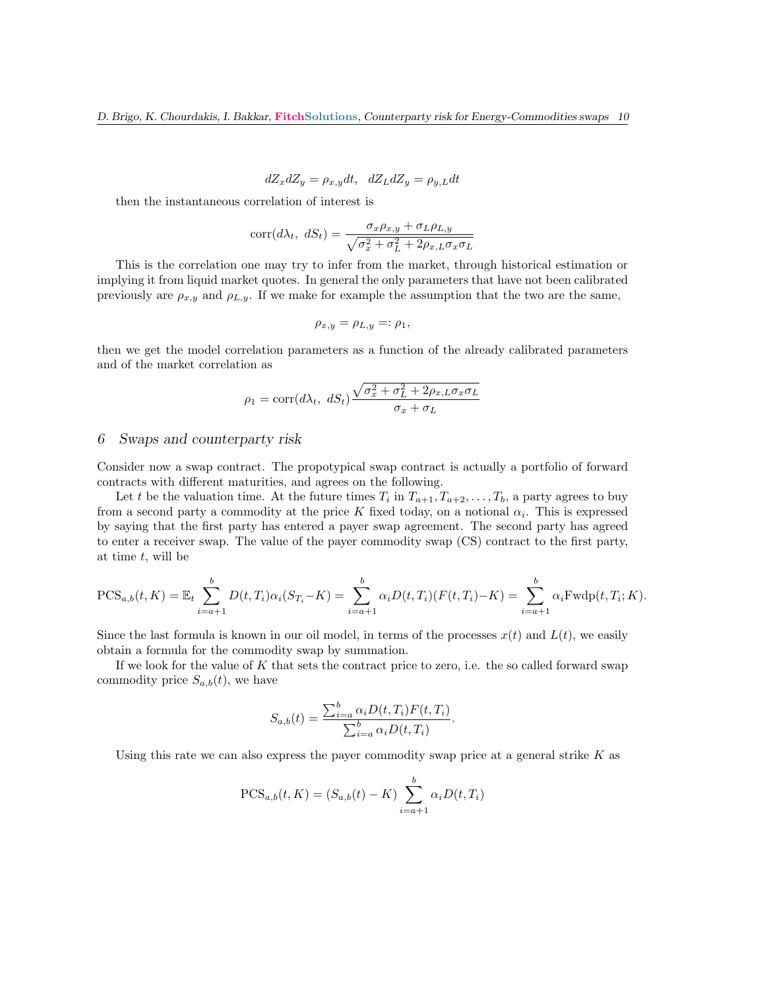$$
dZ_x dZ_y = \rho_{x,y} dt, \quad dZ_L dZ_y = \rho_{y,L} dt
$$

then the instantaneous correlation of interest is

$$
corr(d\lambda_t, dS_t) = \frac{\sigma_x \rho_{x,y} + \sigma_L \rho_{L,y}}{\sqrt{\sigma_x^2 + \sigma_L^2 + 2\rho_{x,L} \sigma_x \sigma_L}}
$$

This is the correlation one may try to infer from the market, through historical estimation or implying it from liquid market quotes. In general the only parameters that have not been calibrated previously are  $\rho_{x,y}$  and  $\rho_{L,y}$ . If we make for example the assumption that the two are the same,

$$
\rho_{x,y} = \rho_{L,y} =: \rho_1,
$$

then we get the model correlation parameters as a function of the already calibrated parameters and of the market correlation as

$$
\rho_1 = \text{corr}(d\lambda_t, \ dS_t) \frac{\sqrt{\sigma_x^2 + \sigma_L^2 + 2\rho_{x,L}\sigma_x \sigma_L}}{\sigma_x + \sigma_L}
$$

# 6 Swaps and counterparty risk

Consider now a swap contract. The propotypical swap contract is actually a portfolio of forward contracts with different maturities, and agrees on the following.

Let t be the valuation time. At the future times  $T_i$  in  $T_{a+1}, T_{a+2}, \ldots, T_b$ , a party agrees to buy from a second party a commodity at the price K fixed today, on a notional  $\alpha_i$ . This is expressed by saying that the first party has entered a payer swap agreement. The second party has agreed to enter a receiver swap. The value of the payer commodity swap (CS) contract to the first party, at time  $t$ , will be

$$
PCS_{a,b}(t,K) = \mathbb{E}_t \sum_{i=a+1}^b D(t,T_i) \alpha_i (S_{T_i} - K) = \sum_{i=a+1}^b \alpha_i D(t,T_i) (F(t,T_i) - K) = \sum_{i=a+1}^b \alpha_i F \text{wdp}(t,T_i;K).
$$

Since the last formula is known in our oil model, in terms of the processes  $x(t)$  and  $L(t)$ , we easily obtain a formula for the commodity swap by summation.

If we look for the value of  $K$  that sets the contract price to zero, i.e. the so called forward swap commodity price  $S_{a,b}(t)$ , we have

$$
S_{a,b}(t) = \frac{\sum_{i=a}^{b} \alpha_i D(t, T_i) F(t, T_i)}{\sum_{i=a}^{b} \alpha_i D(t, T_i)}.
$$

Using this rate we can also express the payer commodity swap price at a general strike  $K$  as

$$
PCS_{a,b}(t, K) = (S_{a,b}(t) - K) \sum_{i=a+1}^{b} \alpha_i D(t, T_i)
$$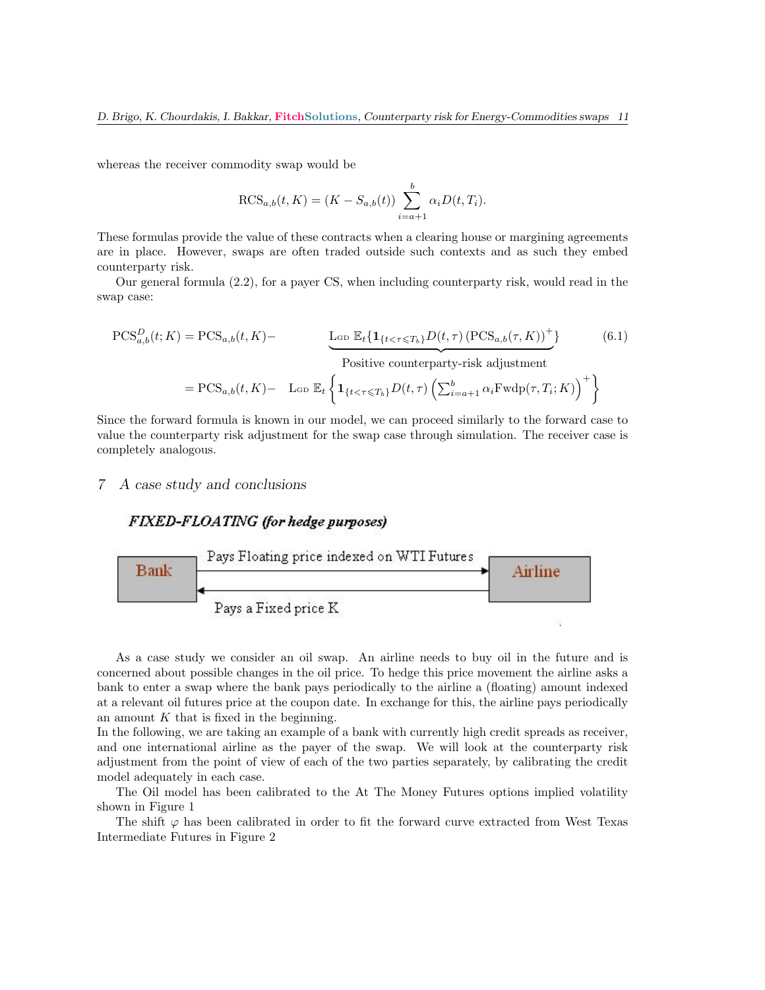whereas the receiver commodity swap would be

$$
RCS_{a,b}(t, K) = (K - S_{a,b}(t)) \sum_{i=a+1}^{b} \alpha_i D(t, T_i).
$$

These formulas provide the value of these contracts when a clearing house or margining agreements are in place. However, swaps are often traded outside such contexts and as such they embed counterparty risk.

Our general formula (2.2), for a payer CS, when including counterparty risk, would read in the swap case:

$$
PCS_{a,b}^{D}(t; K) = PCS_{a,b}(t, K) - \underbrace{\text{L}_{GD} \mathbb{E}_{t} \{ \mathbf{1}_{\{t < \tau \le T_b\}} D(t, \tau) \left( PCS_{a,b}(\tau, K) \right)^{+} \}}_{\text{Positive counterparty-risk adjustment}}
$$
\n
$$
= PCS_{a,b}(t, K) - \text{L}_{GD} \mathbb{E}_{t} \left\{ \mathbf{1}_{\{t < \tau \le T_b\}} D(t, \tau) \left( \sum_{i=a+1}^{b} \alpha_i \text{Fwdp}(\tau, T_i; K) \right)^{+} \right\}
$$
\n(6.1)

Since the forward formula is known in our model, we can proceed similarly to the forward case to value the counterparty risk adjustment for the swap case through simulation. The receiver case is completely analogous.

# 7 A case study and conclusions

# FIXED-FLOATING (for hedge purposes)



As a case study we consider an oil swap. An airline needs to buy oil in the future and is concerned about possible changes in the oil price. To hedge this price movement the airline asks a bank to enter a swap where the bank pays periodically to the airline a (floating) amount indexed at a relevant oil futures price at the coupon date. In exchange for this, the airline pays periodically an amount  $K$  that is fixed in the beginning.

In the following, we are taking an example of a bank with currently high credit spreads as receiver, and one international airline as the payer of the swap. We will look at the counterparty risk adjustment from the point of view of each of the two parties separately, by calibrating the credit model adequately in each case.

The Oil model has been calibrated to the At The Money Futures options implied volatility shown in Figure 1

The shift  $\varphi$  has been calibrated in order to fit the forward curve extracted from West Texas Intermediate Futures in Figure 2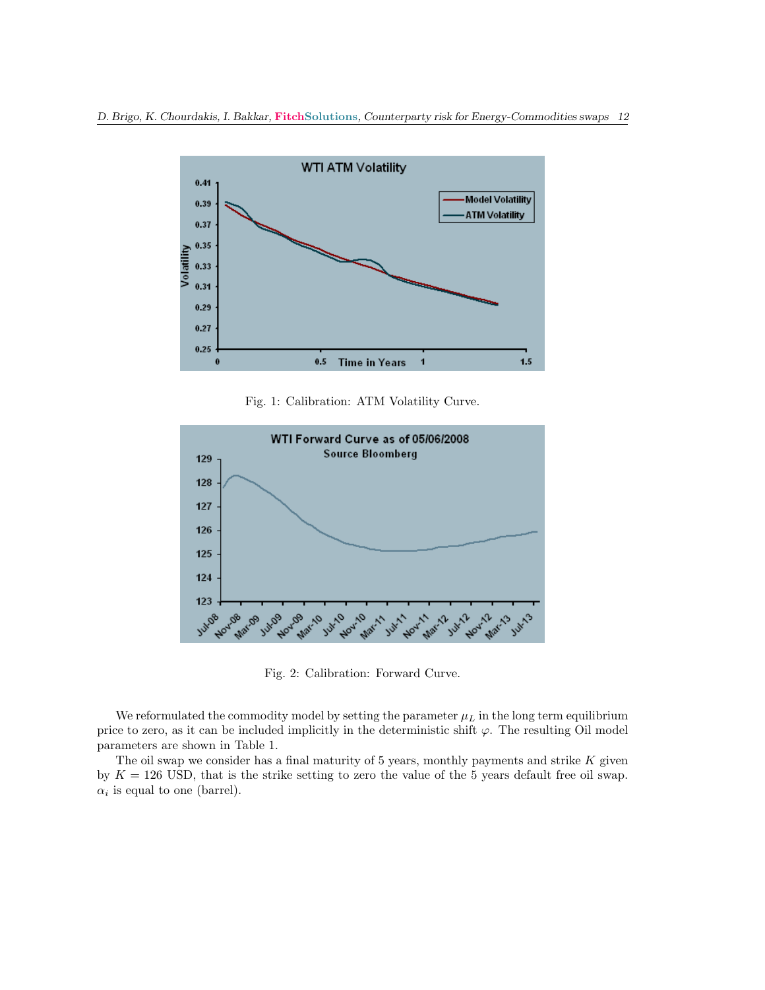

Fig. 1: Calibration: ATM Volatility Curve.



Fig. 2: Calibration: Forward Curve.

We reformulated the commodity model by setting the parameter  $\mu_L$  in the long term equilibrium price to zero, as it can be included implicitly in the deterministic shift  $\varphi$ . The resulting Oil model parameters are shown in Table 1.

The oil swap we consider has a final maturity of  $5$  years, monthly payments and strike  $K$  given by  $K = 126$  USD, that is the strike setting to zero the value of the 5 years default free oil swap.  $\alpha_i$  is equal to one (barrel).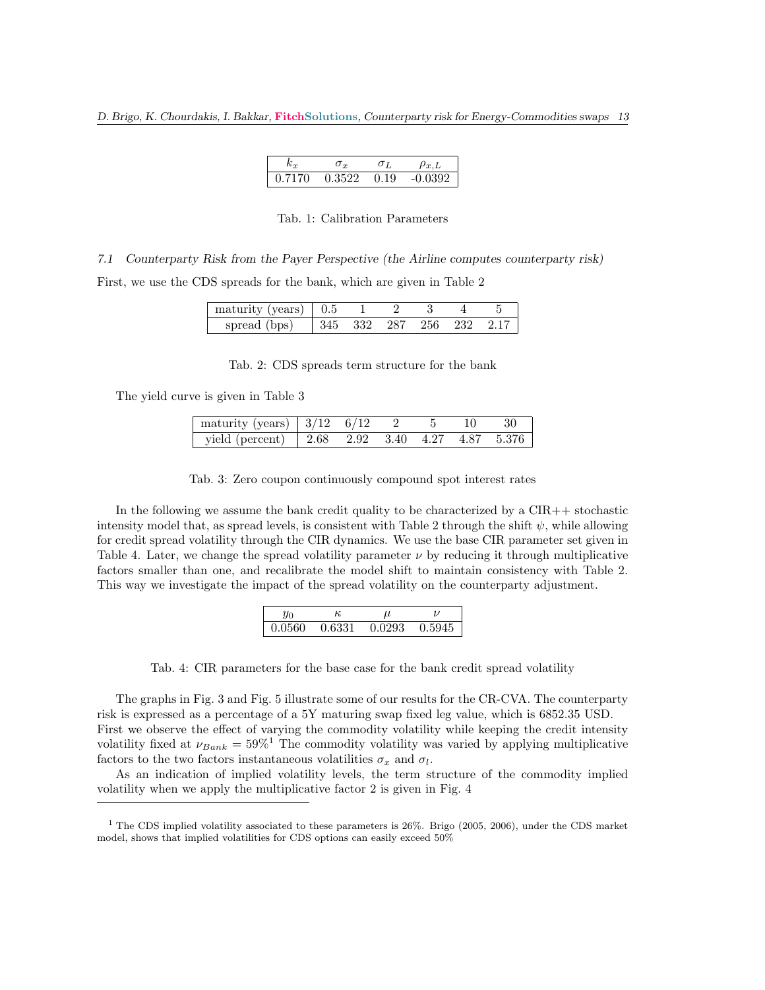| 0.7170 | 0.3522 | 0.19 | -0.0302 |
|--------|--------|------|---------|

## Tab. 1: Calibration Parameters

7.1 Counterparty Risk from the Payer Perspective (the Airline computes counterparty risk)

First, we use the CDS spreads for the bank, which are given in Table 2

| maturity (years) $\vert$ 0.5 |  |                          |  |  |
|------------------------------|--|--------------------------|--|--|
| spread (bps)                 |  | 345 332 287 256 232 2.17 |  |  |

Tab. 2: CDS spreads term structure for the bank

The yield curve is given in Table 3

| maturity (years)   $3/12 \overline{6/12}$ 2 5 10                                            |  |  | 30 <sup>7</sup> |
|---------------------------------------------------------------------------------------------|--|--|-----------------|
| yield (percent) $\begin{array}{ ccc } 2.68 & 2.92 & 3.40 & 4.27 & 4.87 & 5.376 \end{array}$ |  |  |                 |

Tab. 3: Zero coupon continuously compound spot interest rates

In the following we assume the bank credit quality to be characterized by a  $\text{CIR++}$  stochastic intensity model that, as spread levels, is consistent with Table 2 through the shift  $\psi$ , while allowing for credit spread volatility through the CIR dynamics. We use the base CIR parameter set given in Table 4. Later, we change the spread volatility parameter  $\nu$  by reducing it through multiplicative factors smaller than one, and recalibrate the model shift to maintain consistency with Table 2. This way we investigate the impact of the spread volatility on the counterparty adjustment.

| Yо     | к      |        |        |
|--------|--------|--------|--------|
| 0.0560 | 0.6331 | 0.0293 | 0.5945 |

Tab. 4: CIR parameters for the base case for the bank credit spread volatility

The graphs in Fig. 3 and Fig. 5 illustrate some of our results for the CR-CVA. The counterparty risk is expressed as a percentage of a 5Y maturing swap fixed leg value, which is 6852.35 USD. First we observe the effect of varying the commodity volatility while keeping the credit intensity volatility fixed at  $\nu_{Bank} = 59\%$ <sup>1</sup> The commodity volatility was varied by applying multiplicative factors to the two factors instantaneous volatilities  $\sigma_x$  and  $\sigma_l$ .

As an indication of implied volatility levels, the term structure of the commodity implied volatility when we apply the multiplicative factor 2 is given in Fig. 4

<sup>&</sup>lt;sup>1</sup> The CDS implied volatility associated to these parameters is  $26\%$ . Brigo (2005, 2006), under the CDS market model, shows that implied volatilities for CDS options can easily exceed 50%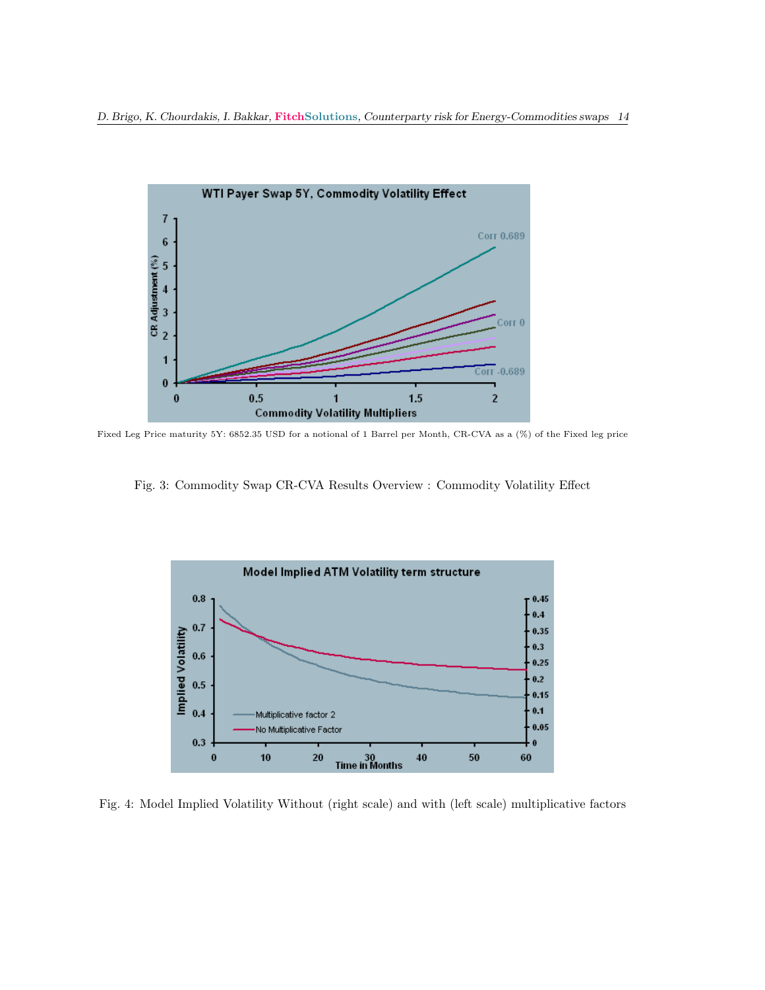

Fixed Leg Price maturity 5Y: 6852.35 USD for a notional of 1 Barrel per Month, CR-CVA as a (%) of the Fixed leg price

Fig. 3: Commodity Swap CR-CVA Results Overview : Commodity Volatility Effect



Fig. 4: Model Implied Volatility Without (right scale) and with (left scale) multiplicative factors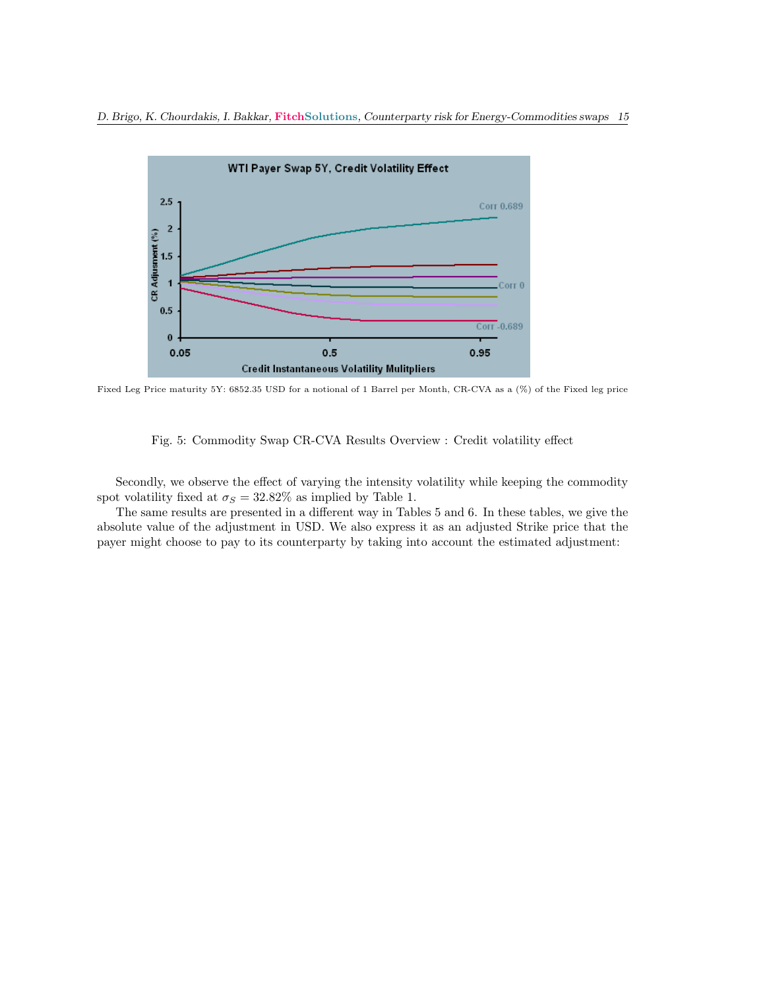

Fixed Leg Price maturity 5Y: 6852.35 USD for a notional of 1 Barrel per Month, CR-CVA as a (%) of the Fixed leg price

Fig. 5: Commodity Swap CR-CVA Results Overview : Credit volatility effect

Secondly, we observe the effect of varying the intensity volatility while keeping the commodity spot volatility fixed at  $\sigma_S = 32.82\%$  as implied by Table 1.

The same results are presented in a different way in Tables 5 and 6. In these tables, we give the absolute value of the adjustment in USD. We also express it as an adjusted Strike price that the payer might choose to pay to its counterparty by taking into account the estimated adjustment: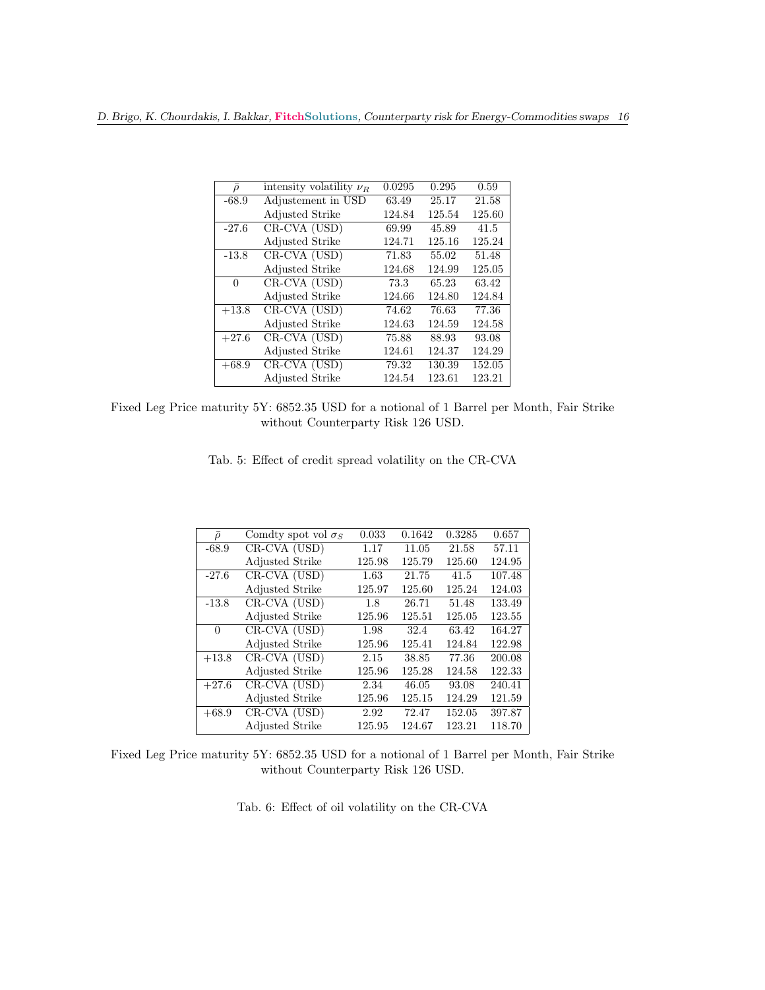| $\bar{\rho}$ | intensity volatility $\nu_B$ | 0.0295 | 0.295  | 0.59   |
|--------------|------------------------------|--------|--------|--------|
| $-68.9$      | Adjustement in USD           | 63.49  | 25.17  | 21.58  |
|              | <b>Adjusted Strike</b>       | 124.84 | 125.54 | 125.60 |
| $-27.6$      | CR-CVA (USD)                 | 69.99  | 45.89  | 41.5   |
|              | <b>Adjusted Strike</b>       | 124.71 | 125.16 | 125.24 |
| $-13.8$      | CR-CVA (USD)                 | 71.83  | 55.02  | 51.48  |
|              | <b>Adjusted Strike</b>       | 124.68 | 124.99 | 125.05 |
| $\Omega$     | CR-CVA (USD)                 | 73.3   | 65.23  | 63.42  |
|              | <b>Adjusted Strike</b>       | 124.66 | 124.80 | 124.84 |
| $+13.8$      | CR-CVA (USD)                 | 74.62  | 76.63  | 77.36  |
|              | <b>Adjusted Strike</b>       | 124.63 | 124.59 | 124.58 |
| $+27.6$      | CR-CVA (USD)                 | 75.88  | 88.93  | 93.08  |
|              | <b>Adjusted Strike</b>       | 124.61 | 124.37 | 124.29 |
| $+68.9$      | CR-CVA (USD)                 | 79.32  | 130.39 | 152.05 |
|              | <b>Adjusted Strike</b>       | 124.54 | 123.61 | 123.21 |

Fixed Leg Price maturity 5Y: 6852.35 USD for a notional of 1 Barrel per Month, Fair Strike without Counterparty Risk 126 USD.

| Tab. 5: Effect of credit spread volatility on the CR-CVA |  |  |  |  |  |  |  |  |  |  |  |  |
|----------------------------------------------------------|--|--|--|--|--|--|--|--|--|--|--|--|
|----------------------------------------------------------|--|--|--|--|--|--|--|--|--|--|--|--|

| $\bar{\rho}$ | Comdty spot vol $\sigma_S$ | 0.033  | 0.1642 | 0.3285 | 0.657  |
|--------------|----------------------------|--------|--------|--------|--------|
| $-68.9$      | CR-CVA (USD)               | 1.17   | 11.05  | 21.58  | 57.11  |
|              | <b>Adjusted Strike</b>     | 125.98 | 125.79 | 125.60 | 124.95 |
| $-27.6$      | CR-CVA (USD)               | 1.63   | 21.75  | 41.5   | 107.48 |
|              | <b>Adjusted Strike</b>     | 125.97 | 125.60 | 125.24 | 124.03 |
| $-13.8$      | CR-CVA (USD)               | 1.8    | 26.71  | 51.48  | 133.49 |
|              | <b>Adjusted Strike</b>     | 125.96 | 125.51 | 125.05 | 123.55 |
| $\Omega$     | CR-CVA (USD)               | 1.98   | 32.4   | 63.42  | 164.27 |
|              | <b>Adjusted Strike</b>     | 125.96 | 125.41 | 124.84 | 122.98 |
| $+13.8$      | CR-CVA (USD)               | 2.15   | 38.85  | 77.36  | 200.08 |
|              | <b>Adjusted Strike</b>     | 125.96 | 125.28 | 124.58 | 122.33 |
| $+27.6$      | CR-CVA (USD)               | 2.34   | 46.05  | 93.08  | 240.41 |
|              | <b>Adjusted Strike</b>     | 125.96 | 125.15 | 124.29 | 121.59 |
| $+68.9$      | CR-CVA (USD)               | 2.92   | 72.47  | 152.05 | 397.87 |
|              | <b>Adjusted Strike</b>     | 125.95 | 124.67 | 123.21 | 118.70 |

Fixed Leg Price maturity 5Y: 6852.35 USD for a notional of 1 Barrel per Month, Fair Strike without Counterparty Risk 126 USD.

Tab. 6: Effect of oil volatility on the CR-CVA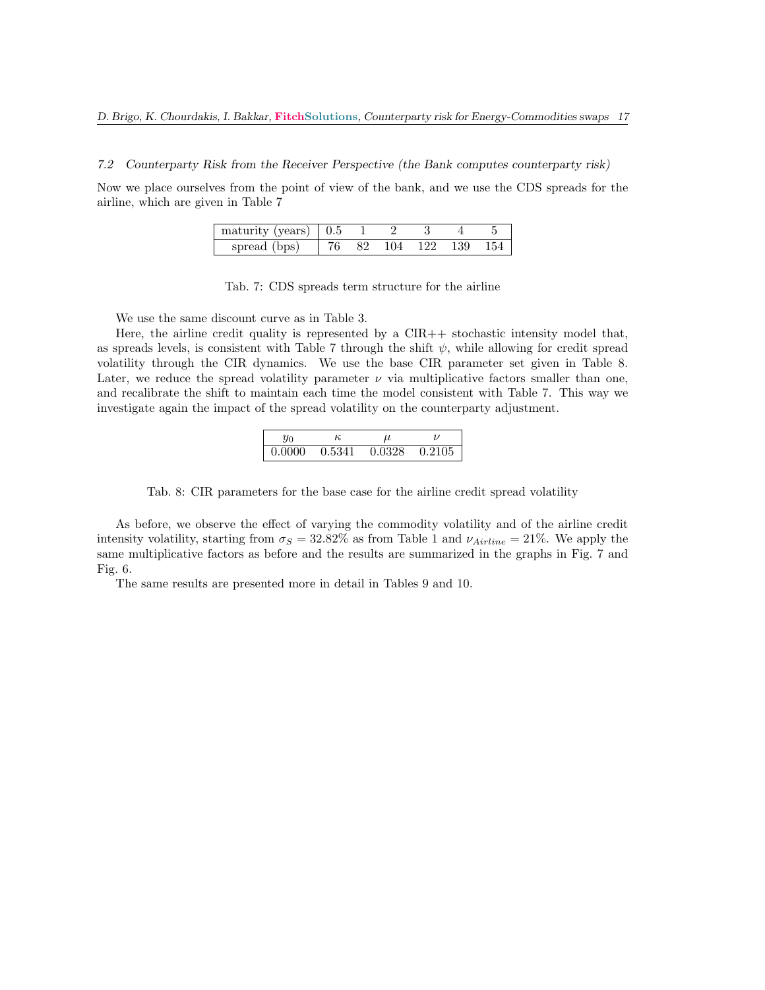7.2 Counterparty Risk from the Receiver Perspective (the Bank computes counterparty risk)

Now we place ourselves from the point of view of the bank, and we use the CDS spreads for the airline, which are given in Table 7

| $\frac{1}{2}$ maturity (years) $\sqrt{0.5}$ 1 |  |                                   |  |
|-----------------------------------------------|--|-----------------------------------|--|
| spread (bps)                                  |  | $\frac{1}{26}$ 82 104 122 139 154 |  |

Tab. 7: CDS spreads term structure for the airline

We use the same discount curve as in Table 3.

Here, the airline credit quality is represented by a  $CIR++$  stochastic intensity model that, as spreads levels, is consistent with Table 7 through the shift  $\psi$ , while allowing for credit spread volatility through the CIR dynamics. We use the base CIR parameter set given in Table 8. Later, we reduce the spread volatility parameter  $\nu$  via multiplicative factors smaller than one, and recalibrate the shift to maintain each time the model consistent with Table 7. This way we investigate again the impact of the spread volatility on the counterparty adjustment.

|        | к      |        |        |
|--------|--------|--------|--------|
| 0.0000 | 0.5341 | 0.0328 | 0.2105 |

Tab. 8: CIR parameters for the base case for the airline credit spread volatility

As before, we observe the effect of varying the commodity volatility and of the airline credit intensity volatility, starting from  $\sigma_S = 32.82\%$  as from Table 1 and  $\nu_{Airline} = 21\%$ . We apply the same multiplicative factors as before and the results are summarized in the graphs in Fig. 7 and Fig. 6.

The same results are presented more in detail in Tables 9 and 10.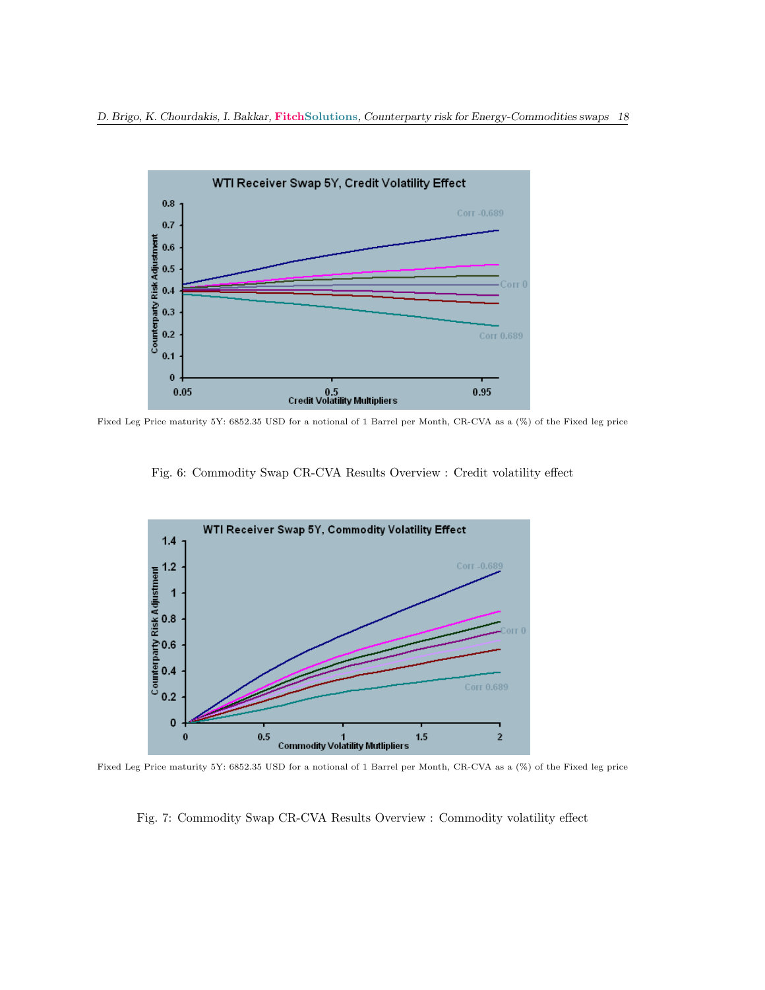

Fixed Leg Price maturity 5Y: 6852.35 USD for a notional of 1 Barrel per Month, CR-CVA as a (%) of the Fixed leg price

Fig. 6: Commodity Swap CR-CVA Results Overview : Credit volatility effect



Fixed Leg Price maturity 5Y: 6852.35 USD for a notional of 1 Barrel per Month, CR-CVA as a (%) of the Fixed leg price

Fig. 7: Commodity Swap CR-CVA Results Overview : Commodity volatility effect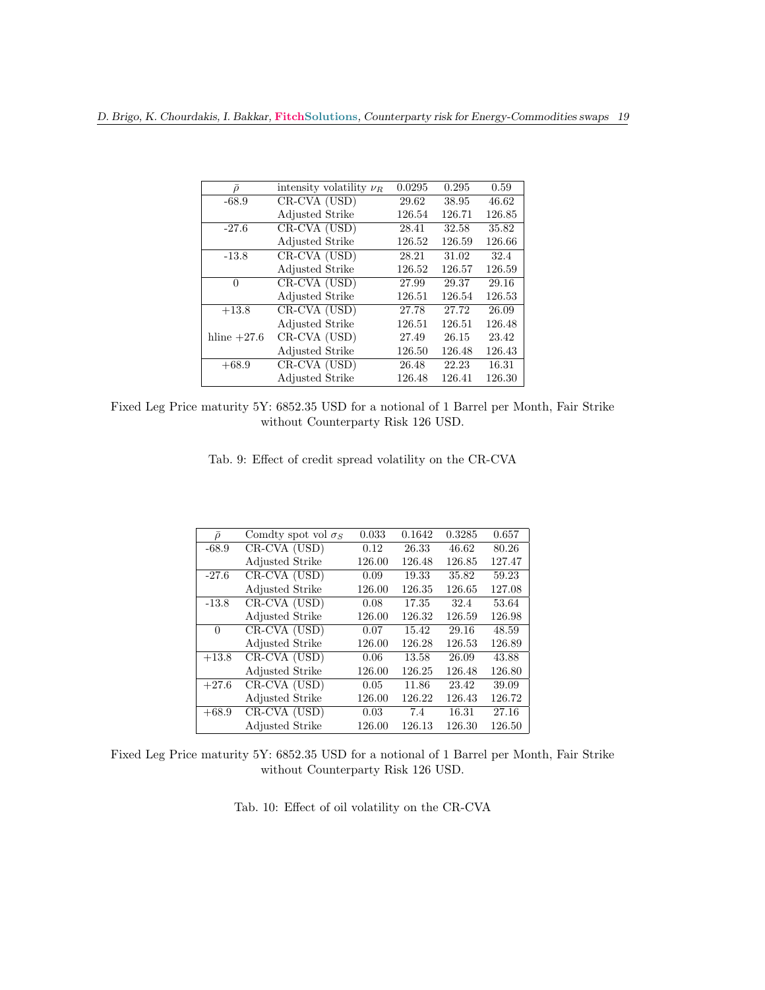| $\bar{\rho}$  | intensity volatility $\nu_R$ | 0.0295 | 0.295  | 0.59   |
|---------------|------------------------------|--------|--------|--------|
| $-68.9$       | CR-CVA (USD)                 | 29.62  | 38.95  | 46.62  |
|               | <b>Adjusted Strike</b>       | 126.54 | 126.71 | 126.85 |
| $-27.6$       | CR-CVA (USD)                 | 28.41  | 32.58  | 35.82  |
|               | <b>Adjusted Strike</b>       | 126.52 | 126.59 | 126.66 |
| $-13.8$       | CR-CVA (USD)                 | 28.21  | 31.02  | 32.4   |
|               | <b>Adjusted Strike</b>       | 126.52 | 126.57 | 126.59 |
| 0             | CR-CVA (USD)                 | 27.99  | 29.37  | 29.16  |
|               | <b>Adjusted Strike</b>       | 126.51 | 126.54 | 126.53 |
| $+13.8$       | $CR-CVA$ (USD)               | 27.78  | 27.72  | 26.09  |
|               | <b>Adjusted Strike</b>       | 126.51 | 126.51 | 126.48 |
| hline $+27.6$ | CR-CVA (USD)                 | 27.49  | 26.15  | 23.42  |
|               | <b>Adjusted Strike</b>       | 126.50 | 126.48 | 126.43 |
| $+68.9$       | CR-CVA (USD)                 | 26.48  | 22.23  | 16.31  |
|               | <b>Adjusted Strike</b>       | 126.48 | 126.41 | 126.30 |

Fixed Leg Price maturity 5Y: 6852.35 USD for a notional of 1 Barrel per Month, Fair Strike without Counterparty Risk 126 USD.

|  |  |  |  | Tab. 9: Effect of credit spread volatility on the CR-CVA |  |  |  |  |  |  |  |
|--|--|--|--|----------------------------------------------------------|--|--|--|--|--|--|--|
|--|--|--|--|----------------------------------------------------------|--|--|--|--|--|--|--|

| $\bar{\rho}$ | Comdty spot vol $\sigma_S$ | 0.033  | 0.1642 | 0.3285 | 0.657  |
|--------------|----------------------------|--------|--------|--------|--------|
| $-68.9$      | CR-CVA (USD)               | 0.12   | 26.33  | 46.62  | 80.26  |
|              | <b>Adjusted Strike</b>     | 126.00 | 126.48 | 126.85 | 127.47 |
| $-27.6$      | $CR$ -CVA $(USD)$          | 0.09   | 19.33  | 35.82  | 59.23  |
|              | <b>Adjusted Strike</b>     | 126.00 | 126.35 | 126.65 | 127.08 |
| $-13.8$      | CR-CVA (USD)               | 0.08   | 17.35  | 32.4   | 53.64  |
|              | <b>Adjusted Strike</b>     | 126.00 | 126.32 | 126.59 | 126.98 |
| $\Omega$     | CR-CVA (USD)               | 0.07   | 15.42  | 29.16  | 48.59  |
|              | <b>Adjusted Strike</b>     | 126.00 | 126.28 | 126.53 | 126.89 |
| $+13.8$      | CR-CVA (USD)               | 0.06   | 13.58  | 26.09  | 43.88  |
|              | <b>Adjusted Strike</b>     | 126.00 | 126.25 | 126.48 | 126.80 |
| $+27.6$      | CR-CVA (USD)               | 0.05   | 11.86  | 23.42  | 39.09  |
|              | <b>Adjusted Strike</b>     | 126.00 | 126.22 | 126.43 | 126.72 |
| $+68.9$      | CR-CVA (USD)               | 0.03   | 7.4    | 16.31  | 27.16  |
|              | <b>Adjusted Strike</b>     | 126.00 | 126.13 | 126.30 | 126.50 |

Fixed Leg Price maturity 5Y: 6852.35 USD for a notional of 1 Barrel per Month, Fair Strike without Counterparty Risk 126 USD.

Tab. 10: Effect of oil volatility on the CR-CVA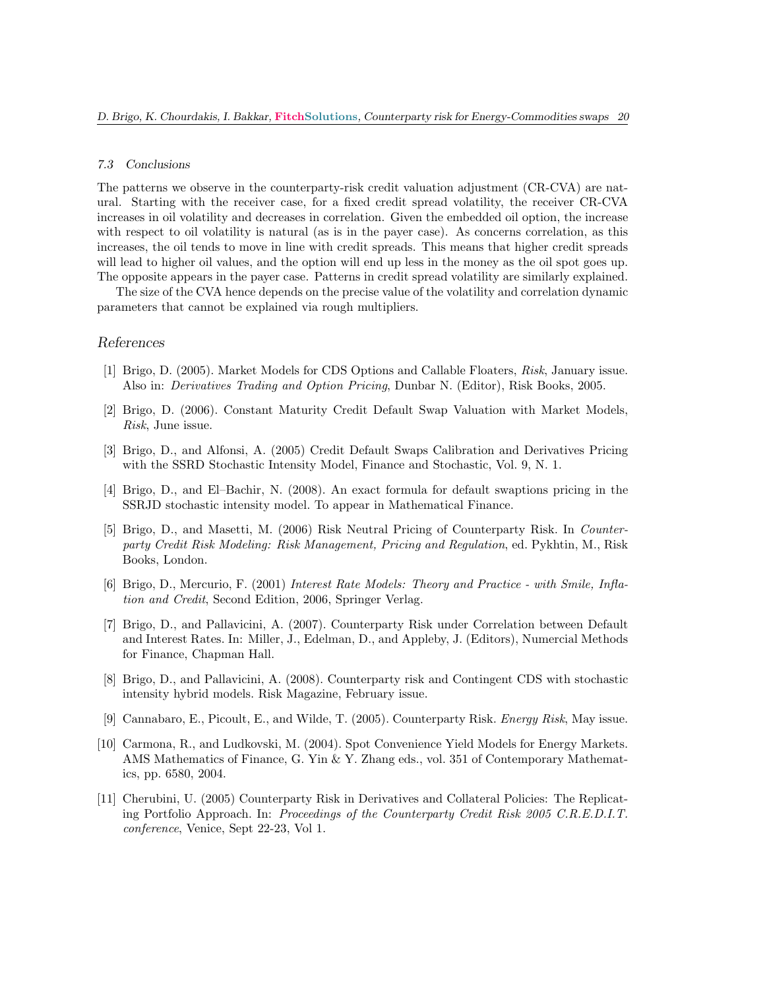#### 7.3 Conclusions

The patterns we observe in the counterparty-risk credit valuation adjustment (CR-CVA) are natural. Starting with the receiver case, for a fixed credit spread volatility, the receiver CR-CVA increases in oil volatility and decreases in correlation. Given the embedded oil option, the increase with respect to oil volatility is natural (as is in the payer case). As concerns correlation, as this increases, the oil tends to move in line with credit spreads. This means that higher credit spreads will lead to higher oil values, and the option will end up less in the money as the oil spot goes up. The opposite appears in the payer case. Patterns in credit spread volatility are similarly explained.

The size of the CVA hence depends on the precise value of the volatility and correlation dynamic parameters that cannot be explained via rough multipliers.

#### References

- [1] Brigo, D. (2005). Market Models for CDS Options and Callable Floaters, Risk, January issue. Also in: Derivatives Trading and Option Pricing, Dunbar N. (Editor), Risk Books, 2005.
- [2] Brigo, D. (2006). Constant Maturity Credit Default Swap Valuation with Market Models, Risk, June issue.
- [3] Brigo, D., and Alfonsi, A. (2005) Credit Default Swaps Calibration and Derivatives Pricing with the SSRD Stochastic Intensity Model, Finance and Stochastic, Vol. 9, N. 1.
- [4] Brigo, D., and El–Bachir, N. (2008). An exact formula for default swaptions pricing in the SSRJD stochastic intensity model. To appear in Mathematical Finance.
- [5] Brigo, D., and Masetti, M. (2006) Risk Neutral Pricing of Counterparty Risk. In Counterparty Credit Risk Modeling: Risk Management, Pricing and Regulation, ed. Pykhtin, M., Risk Books, London.
- [6] Brigo, D., Mercurio, F. (2001) Interest Rate Models: Theory and Practice with Smile, Inflation and Credit, Second Edition, 2006, Springer Verlag.
- [7] Brigo, D., and Pallavicini, A. (2007). Counterparty Risk under Correlation between Default and Interest Rates. In: Miller, J., Edelman, D., and Appleby, J. (Editors), Numercial Methods for Finance, Chapman Hall.
- [8] Brigo, D., and Pallavicini, A. (2008). Counterparty risk and Contingent CDS with stochastic intensity hybrid models. Risk Magazine, February issue.
- [9] Cannabaro, E., Picoult, E., and Wilde, T. (2005). Counterparty Risk. Energy Risk, May issue.
- [10] Carmona, R., and Ludkovski, M. (2004). Spot Convenience Yield Models for Energy Markets. AMS Mathematics of Finance, G. Yin & Y. Zhang eds., vol. 351 of Contemporary Mathematics, pp. 6580, 2004.
- [11] Cherubini, U. (2005) Counterparty Risk in Derivatives and Collateral Policies: The Replicating Portfolio Approach. In: Proceedings of the Counterparty Credit Risk 2005 C.R.E.D.I.T. conference, Venice, Sept 22-23, Vol 1.